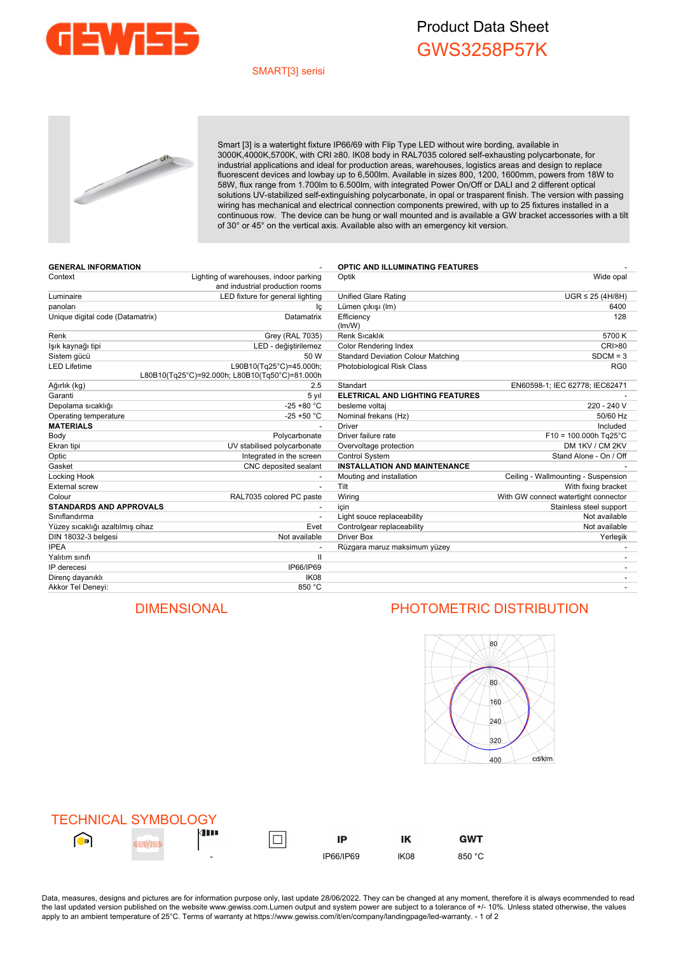

## Product Data Sheet GWS3258P57K

### SMART[3] serisi



Smart [3] is a watertight fixture IP66/69 with Flip Type LED without wire bording, available in 3000K,4000K,5700K, with CRI ≥80. IK08 body in RAL7035 colored self-exhausting polycarbonate, for industrial applications and ideal for production areas, warehouses, logistics areas and design to replace fluorescent devices and lowbay up to 6,500lm. Available in sizes 800, 1200, 1600mm, powers from 18W to 58W, flux range from 1.700lm to 6.500lm, with integrated Power On/Off or DALI and 2 different optical solutions UV-stabilized self-extinguishing polycarbonate, in opal or trasparent finish. The version with passing wiring has mechanical and electrical connection components prewired, with up to 25 fixtures installed in a continuous row. The device can be hung or wall mounted and is available a GW bracket accessories with a tilt of 30° or 45° on the vertical axis. Available also with an emergency kit version.

| <b>GENERAL INFORMATION</b>       |                                                                           | <b>OPTIC AND ILLUMINATING FEATURES</b>    |                                      |  |  |
|----------------------------------|---------------------------------------------------------------------------|-------------------------------------------|--------------------------------------|--|--|
| Context                          | Lighting of warehouses, indoor parking<br>and industrial production rooms | Wide opal<br>Optik                        |                                      |  |  |
| Luminaire                        | LED fixture for general lighting                                          | <b>Unified Glare Rating</b>               | $UGR \leq 25$ (4H/8H)                |  |  |
| panoları                         | Ιc                                                                        | Lümen çıkışı (Im)                         | 6400                                 |  |  |
| Unique digital code (Datamatrix) | Datamatrix                                                                | Efficiency<br>(lm/W)                      | 128                                  |  |  |
| Renk                             | Grey (RAL 7035)                                                           | <b>Renk Sicaklik</b>                      | 5700 K                               |  |  |
| lşık kaynağı tipi                | LED - değiştirilemez                                                      | <b>Color Rendering Index</b>              | <b>CRI&gt;80</b>                     |  |  |
| Sistem gücü                      | 50 W                                                                      | <b>Standard Deviation Colour Matching</b> | $SDCM = 3$                           |  |  |
| LED Lifetime                     | L90B10(Tq25°C)=45.000h;<br>L80B10(Tg25°C)=92.000h; L80B10(Tg50°C)=81.000h | Photobiological Risk Class                | RG <sub>0</sub>                      |  |  |
| Ağırlık (kg)                     | 2.5                                                                       | Standart                                  | EN60598-1; IEC 62778; IEC62471       |  |  |
| Garanti                          | 5 yıl                                                                     | ELETRICAL AND LIGHTING FEATURES           |                                      |  |  |
| Depolama sıcaklığı               | $-25 + 80 °C$                                                             | besleme voltaj                            | 220 - 240 V                          |  |  |
| Operating temperature            | $-25 + 50 °C$                                                             | Nominal frekans (Hz)                      | 50/60 Hz                             |  |  |
| <b>MATERIALS</b>                 |                                                                           | <b>Driver</b>                             | Included                             |  |  |
| Body                             | Polycarbonate                                                             | Driver failure rate                       | $F10 = 100.000h$ Tg25°C              |  |  |
| Ekran tipi                       | UV stabilised polycarbonate                                               | Overvoltage protection                    | DM 1KV / CM 2KV                      |  |  |
| Optic                            | Integrated in the screen                                                  | Control System                            | Stand Alone - On / Off               |  |  |
| Gasket                           | CNC deposited sealant                                                     | <b>INSTALLATION AND MAINTENANCE</b>       |                                      |  |  |
| Locking Hook                     |                                                                           | Mouting and installation                  | Ceiling - Wallmounting - Suspension  |  |  |
| <b>External screw</b>            | $\overline{\phantom{a}}$                                                  | Tilt                                      | With fixing bracket                  |  |  |
| Colour                           | RAL7035 colored PC paste                                                  | Wiring                                    | With GW connect watertight connector |  |  |
| <b>STANDARDS AND APPROVALS</b>   |                                                                           | icin                                      | Stainless steel support              |  |  |
| Sınıflandırma                    |                                                                           | Light souce replaceability                | Not available                        |  |  |
| Yüzey sıcaklığı azaltılmış cihaz | Evet                                                                      | Controlgear replaceability                | Not available                        |  |  |
| DIN 18032-3 belgesi              | Not available                                                             | <b>Driver Box</b>                         | Yerleşik                             |  |  |
| <b>IPEA</b>                      |                                                                           | Rüzgara maruz maksimum yüzey              |                                      |  |  |
| Yalıtım sınıfı                   | Ш                                                                         |                                           |                                      |  |  |
| IP derecesi                      | IP66/IP69                                                                 |                                           |                                      |  |  |
| Direnç dayanıklı                 | IK08                                                                      |                                           |                                      |  |  |
| Akkor Tel Deneyi:                | 850 °C                                                                    |                                           |                                      |  |  |
|                                  |                                                                           |                                           |                                      |  |  |

## DIMENSIONAL PHOTOMETRIC DISTRIBUTION



|            | <b>TECHNICAL SYMBOLOGY</b> |                          |           |                  |            |
|------------|----------------------------|--------------------------|-----------|------------------|------------|
| $\bigodot$ |                            | <b>de 19</b>             | IP        | ΙK               | <b>GWT</b> |
|            |                            | $\overline{\phantom{0}}$ | IP66/IP69 | IK <sub>08</sub> | 850 °C     |

Data, measures, designs and pictures are for information purpose only, last update 28/06/2022. They can be changed at any moment, therefore it is always ecommended to read the last updated version published on the website www.gewiss.com.Lumen output and system power are subject to a tolerance of +/-10%. Unless stated otherwise, the values apply to an ambient temperature of 25°C. Terms of warranty at https://www.gewiss.com/it/en/company/landingpage/led-warranty. - 1 of 2